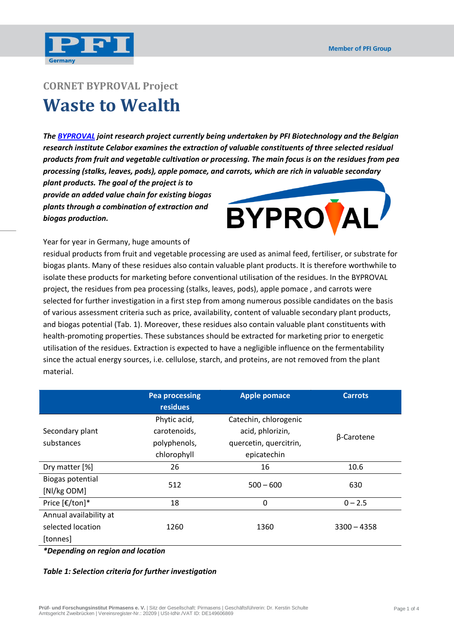

# **CORNET BYPROVAL Project Waste to Wealth**

*The [BYPROVAL](http://www.byproval.eu/start.html) joint research project currently being undertaken by PFI Biotechnology and the Belgian research institute Celabor examines the extraction of valuable constituents of three selected residual products from fruit and vegetable cultivation or processing. The main focus is on the residues from pea processing (stalks, leaves, pods), apple pomace, and carrots, which are rich in valuable secondary* 

*plant products. The goal of the project is to provide an added value chain for existing biogas plants through a combination of extraction and biogas production.*



Year for year in Germany, huge amounts of

residual products from fruit and vegetable processing are used as animal feed, fertiliser, or substrate for biogas plants. Many of these residues also contain valuable plant products. It is therefore worthwhile to isolate these products for marketing before conventional utilisation of the residues. In the BYPROVAL project, the residues from pea processing (stalks, leaves, pods), apple pomace , and carrots were selected for further investigation in a first step from among numerous possible candidates on the basis of various assessment criteria such as price, availability, content of valuable secondary plant products, and biogas potential (Tab. 1). Moreover, these residues also contain valuable plant constituents with health-promoting properties. These substances should be extracted for marketing prior to energetic utilisation of the residues. Extraction is expected to have a negligible influence on the fermentability since the actual energy sources, i.e. cellulose, starch, and proteins, are not removed from the plant material.

|                        | <b>Pea processing</b><br><b>residues</b> | <b>Apple pomace</b>    | <b>Carrots</b> |
|------------------------|------------------------------------------|------------------------|----------------|
|                        | Phytic acid,                             | Catechin, chlorogenic  |                |
| Secondary plant        | carotenoids,                             | acid, phlorizin,       | β-Carotene     |
| substances             | polyphenols,                             | quercetin, quercitrin, |                |
|                        | chlorophyll                              | epicatechin            |                |
| Dry matter [%]         | 26                                       | 16                     | 10.6           |
| Biogas potential       | 512                                      | $500 - 600$            | 630            |
| [Nl/kg ODM]            |                                          |                        |                |
| Price [€/ton]*         | 18                                       | 0                      | $0 - 2.5$      |
| Annual availability at |                                          |                        |                |
| selected location      | 1260                                     | 1360                   | $3300 - 4358$  |
| [tonnes]               |                                          |                        |                |

*\*Depending on region and location*

#### *Table 1: Selection criteria for further investigation*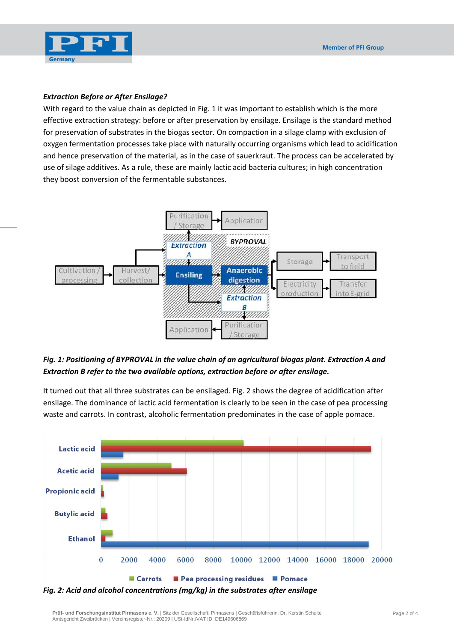

#### *Extraction Before or After Ensilage?*

With regard to the value chain as depicted in Fig. 1 it was important to establish which is the more effective extraction strategy: before or after preservation by ensilage. Ensilage is the standard method for preservation of substrates in the biogas sector. On compaction in a silage clamp with exclusion of oxygen fermentation processes take place with naturally occurring organisms which lead to acidification and hence preservation of the material, as in the case of sauerkraut. The process can be accelerated by use of silage additives. As a rule, these are mainly lactic acid bacteria cultures; in high concentration they boost conversion of the fermentable substances.



### *Fig. 1: Positioning of BYPROVAL in the value chain of an agricultural biogas plant. Extraction A and Extraction B refer to the two available options, extraction before or after ensilage.*

It turned out that all three substrates can be ensilaged. Fig. 2 shows the degree of acidification after ensilage. The dominance of lactic acid fermentation is clearly to be seen in the case of pea processing waste and carrots. In contrast, alcoholic fermentation predominates in the case of apple pomace.



*Fig. 2: Acid and alcohol concentrations (mg/kg) in the substrates after ensilage*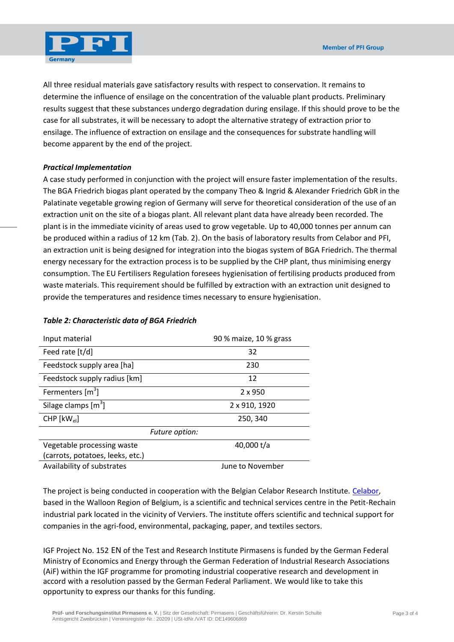

All three residual materials gave satisfactory results with respect to conservation. It remains to determine the influence of ensilage on the concentration of the valuable plant products. Preliminary results suggest that these substances undergo degradation during ensilage. If this should prove to be the case for all substrates, it will be necessary to adopt the alternative strategy of extraction prior to ensilage. The influence of extraction on ensilage and the consequences for substrate handling will become apparent by the end of the project.

#### *Practical Implementation*

A case study performed in conjunction with the project will ensure faster implementation of the results. The BGA Friedrich biogas plant operated by the company Theo & Ingrid & Alexander Friedrich GbR in the Palatinate vegetable growing region of Germany will serve for theoretical consideration of the use of an extraction unit on the site of a biogas plant. All relevant plant data have already been recorded. The plant is in the immediate vicinity of areas used to grow vegetable. Up to 40,000 tonnes per annum can be produced within a radius of 12 km (Tab. 2). On the basis of laboratory results from Celabor and PFI, an extraction unit is being designed for integration into the biogas system of BGA Friedrich. The thermal energy necessary for the extraction process is to be supplied by the CHP plant, thus minimising energy consumption. The EU Fertilisers Regulation foresees hygienisation of fertilising products produced from waste materials. This requirement should be fulfilled by extraction with an extraction unit designed to provide the temperatures and residence times necessary to ensure hygienisation.

| Input material                   | 90 % maize, 10 % grass |  |  |
|----------------------------------|------------------------|--|--|
| Feed rate [t/d]                  | 32                     |  |  |
| Feedstock supply area [ha]       | 230                    |  |  |
| Feedstock supply radius [km]     | 12                     |  |  |
| Fermenters $[m3]$                | $2 \times 950$         |  |  |
| Silage clamps $[m^3]$            | 2 x 910, 1920          |  |  |
| $CHP$ $[kW_{el}]$                | 250, 340               |  |  |
| Future option:                   |                        |  |  |
| Vegetable processing waste       | 40,000 t/a             |  |  |
| (carrots, potatoes, leeks, etc.) |                        |  |  |
| Availability of substrates       | June to November       |  |  |

#### *Table 2: Characteristic data of BGA Friedrich*

The project is being conducted in cooperation with the Belgian Celabor Research Institute. [Celabor,](http://www.celabor.be/) based in the Walloon Region of Belgium, is a scientific and technical services centre in the Petit-Rechain industrial park located in the vicinity of Verviers. The institute offers scientific and technical support for companies in the agri-food, environmental, packaging, paper, and textiles sectors.

IGF Project No. 152 EN of the Test and Research Institute Pirmasens is funded by the German Federal Ministry of Economics and Energy through the [German Federation of Industrial Research Associations](http://www.aif.de/)  [\(AiF\)](http://www.aif.de/) within the IGF programme for promoting industrial cooperative research and development in accord with a resolution passed by the German Federal Parliament. We would like to take this opportunity to express our thanks for this funding.